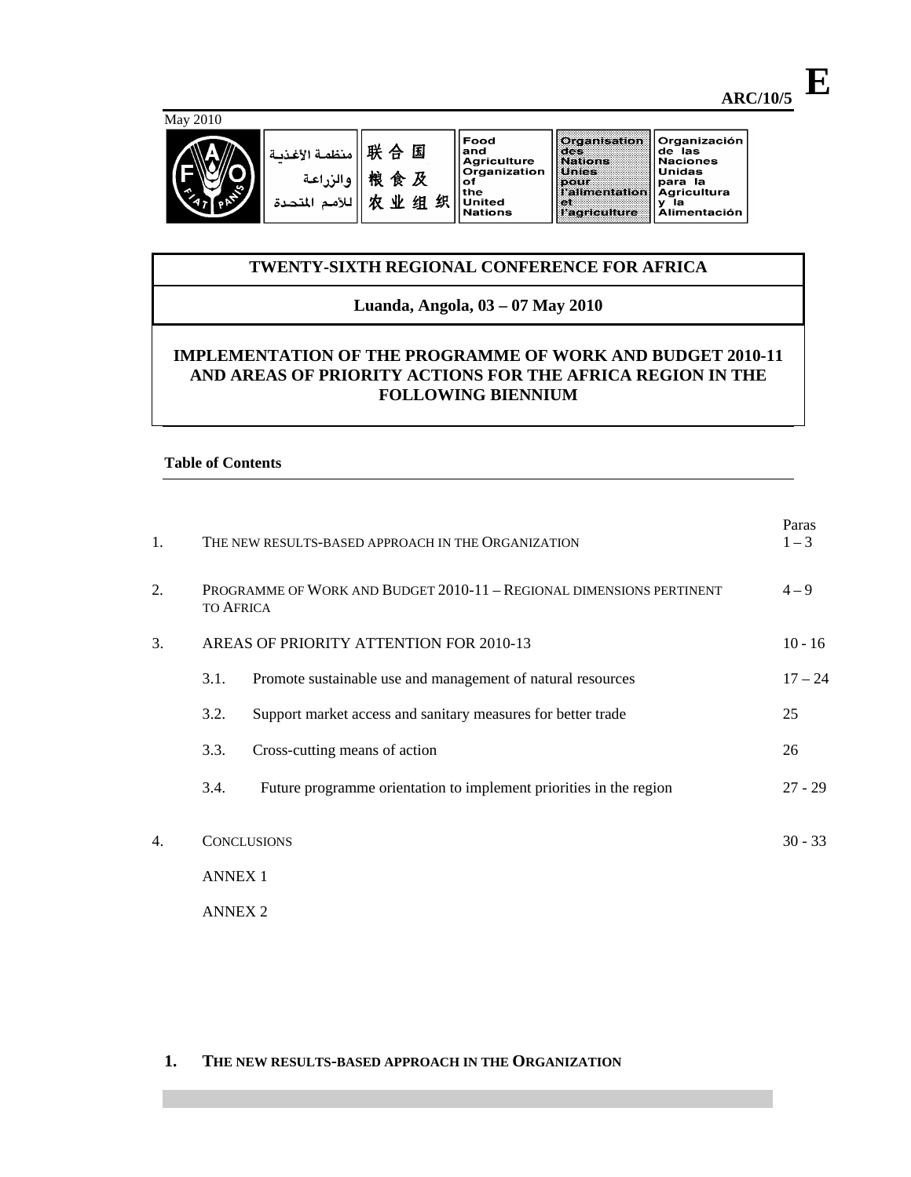Food and and<br>Agriculture<br>Organization<br>of<br>the the d 且织 United<br>Nations

## Organisation<br>des<br>Unies Organización Organizacion<br>de las<br>Naciones<br>Unidas<br>paricultura<br>y la<br>Alimentación pour<br>l'alimentation et<br>l'agriculture

# **TWENTY-SIXTH REGIONAL CONFERENCE FOR AFRICA**

## **Luanda, Angola, 03 – 07 May 2010**

# **IMPLEMENTATION OF THE PROGRAMME OF WORK AND BUDGET 2010-11 AND AREAS OF PRIORITY ACTIONS FOR THE AFRICA REGION IN THE FOLLOWING BIENNIUM**

## **Table of Contents**

| 1. | THE NEW RESULTS-BASED APPROACH IN THE ORGANIZATION |                                                                                          |           |  |  |  |  |  |  |  |
|----|----------------------------------------------------|------------------------------------------------------------------------------------------|-----------|--|--|--|--|--|--|--|
| 2. |                                                    | PROGRAMME OF WORK AND BUDGET 2010-11 - REGIONAL DIMENSIONS PERTINENT<br><b>TO AFRICA</b> | $4 - 9$   |  |  |  |  |  |  |  |
| 3. | AREAS OF PRIORITY ATTENTION FOR 2010-13            |                                                                                          |           |  |  |  |  |  |  |  |
|    | 3.1.                                               | Promote sustainable use and management of natural resources                              | $17 - 24$ |  |  |  |  |  |  |  |
|    | 3.2.                                               | Support market access and sanitary measures for better trade                             | 25        |  |  |  |  |  |  |  |
|    | 3.3.                                               | Cross-cutting means of action                                                            | 26        |  |  |  |  |  |  |  |
|    | 3.4.                                               | Future programme orientation to implement priorities in the region                       | $27 - 29$ |  |  |  |  |  |  |  |
| 4. |                                                    | <b>CONCLUSIONS</b>                                                                       |           |  |  |  |  |  |  |  |
|    |                                                    | <b>ANNEX 1</b>                                                                           |           |  |  |  |  |  |  |  |
|    |                                                    | <b>ANNEX 2</b>                                                                           |           |  |  |  |  |  |  |  |

### **1. THE NEW RESULTS-BASED APPROACH IN THE ORGANIZATION**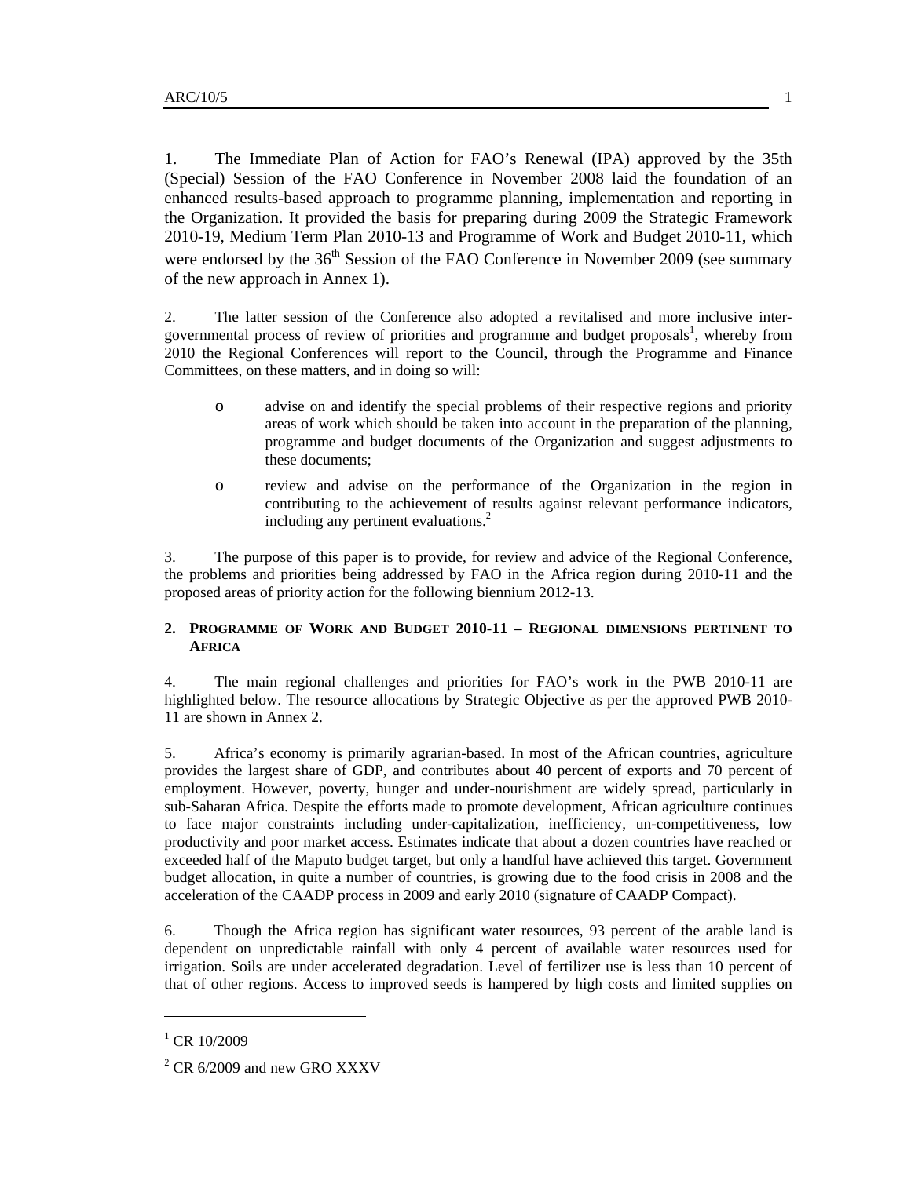1. The Immediate Plan of Action for FAO's Renewal (IPA) approved by the 35th (Special) Session of the FAO Conference in November 2008 laid the foundation of an enhanced results-based approach to programme planning, implementation and reporting in the Organization. It provided the basis for preparing during 2009 the Strategic Framework 2010-19, Medium Term Plan 2010-13 and Programme of Work and Budget 2010-11, which were endorsed by the  $36<sup>th</sup>$  Session of the FAO Conference in November 2009 (see summary of the new approach in Annex 1).

2. The latter session of the Conference also adopted a revitalised and more inclusive intergovernmental process of review of priorities and programme and budget proposals<sup>1</sup>, whereby from 2010 the Regional Conferences will report to the Council, through the Programme and Finance Committees, on these matters, and in doing so will:

- o advise on and identify the special problems of their respective regions and priority areas of work which should be taken into account in the preparation of the planning, programme and budget documents of the Organization and suggest adjustments to these documents;
- o review and advise on the performance of the Organization in the region in contributing to the achievement of results against relevant performance indicators, including any pertinent evaluations. $<sup>2</sup>$ </sup>

3. The purpose of this paper is to provide, for review and advice of the Regional Conference, the problems and priorities being addressed by FAO in the Africa region during 2010-11 and the proposed areas of priority action for the following biennium 2012-13.

### **2. PROGRAMME OF WORK AND BUDGET 2010-11 – REGIONAL DIMENSIONS PERTINENT TO AFRICA**

4. The main regional challenges and priorities for FAO's work in the PWB 2010-11 are highlighted below. The resource allocations by Strategic Objective as per the approved PWB 2010- 11 are shown in Annex 2.

5. Africa's economy is primarily agrarian-based. In most of the African countries, agriculture provides the largest share of GDP, and contributes about 40 percent of exports and 70 percent of employment. However, poverty, hunger and under-nourishment are widely spread, particularly in sub-Saharan Africa. Despite the efforts made to promote development, African agriculture continues to face major constraints including under-capitalization, inefficiency, un-competitiveness, low productivity and poor market access. Estimates indicate that about a dozen countries have reached or exceeded half of the Maputo budget target, but only a handful have achieved this target. Government budget allocation, in quite a number of countries, is growing due to the food crisis in 2008 and the acceleration of the CAADP process in 2009 and early 2010 (signature of CAADP Compact).

6. Though the Africa region has significant water resources, 93 percent of the arable land is dependent on unpredictable rainfall with only 4 percent of available water resources used for irrigation. Soils are under accelerated degradation. Level of fertilizer use is less than 10 percent of that of other regions. Access to improved seeds is hampered by high costs and limited supplies on

 $\overline{a}$ 

 $^{1}$  CR 10/2009

 $2^2$  CR 6/2009 and new GRO XXXV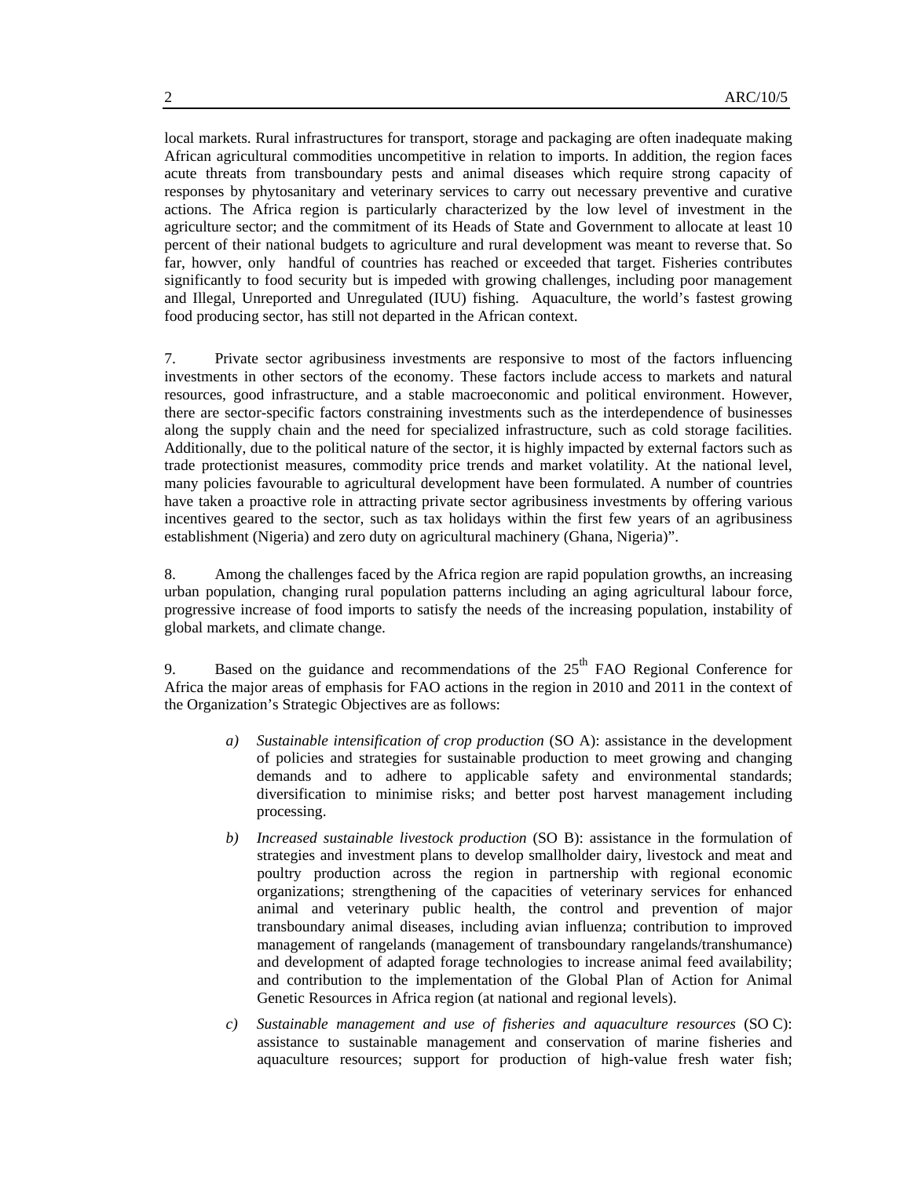local markets. Rural infrastructures for transport, storage and packaging are often inadequate making African agricultural commodities uncompetitive in relation to imports. In addition, the region faces acute threats from transboundary pests and animal diseases which require strong capacity of responses by phytosanitary and veterinary services to carry out necessary preventive and curative actions. The Africa region is particularly characterized by the low level of investment in the agriculture sector; and the commitment of its Heads of State and Government to allocate at least 10 percent of their national budgets to agriculture and rural development was meant to reverse that. So far, howver, only handful of countries has reached or exceeded that target. Fisheries contributes significantly to food security but is impeded with growing challenges, including poor management and Illegal, Unreported and Unregulated (IUU) fishing. Aquaculture, the world's fastest growing food producing sector, has still not departed in the African context.

7. Private sector agribusiness investments are responsive to most of the factors influencing investments in other sectors of the economy. These factors include access to markets and natural resources, good infrastructure, and a stable macroeconomic and political environment. However, there are sector-specific factors constraining investments such as the interdependence of businesses along the supply chain and the need for specialized infrastructure, such as cold storage facilities. Additionally, due to the political nature of the sector, it is highly impacted by external factors such as trade protectionist measures, commodity price trends and market volatility. At the national level, many policies favourable to agricultural development have been formulated. A number of countries have taken a proactive role in attracting private sector agribusiness investments by offering various incentives geared to the sector, such as tax holidays within the first few years of an agribusiness establishment (Nigeria) and zero duty on agricultural machinery (Ghana, Nigeria)".

8. Among the challenges faced by the Africa region are rapid population growths, an increasing urban population, changing rural population patterns including an aging agricultural labour force, progressive increase of food imports to satisfy the needs of the increasing population, instability of global markets, and climate change.

9. Based on the guidance and recommendations of the  $25<sup>th</sup>$  FAO Regional Conference for Africa the major areas of emphasis for FAO actions in the region in 2010 and 2011 in the context of the Organization's Strategic Objectives are as follows:

- *a) Sustainable intensification of crop production* (SO A): assistance in the development of policies and strategies for sustainable production to meet growing and changing demands and to adhere to applicable safety and environmental standards; diversification to minimise risks; and better post harvest management including processing.
- *b) Increased sustainable livestock production* (SO B): assistance in the formulation of strategies and investment plans to develop smallholder dairy, livestock and meat and poultry production across the region in partnership with regional economic organizations; strengthening of the capacities of veterinary services for enhanced animal and veterinary public health, the control and prevention of major transboundary animal diseases, including avian influenza; contribution to improved management of rangelands (management of transboundary rangelands/transhumance) and development of adapted forage technologies to increase animal feed availability; and contribution to the implementation of the Global Plan of Action for Animal Genetic Resources in Africa region (at national and regional levels).
- *c) Sustainable management and use of fisheries and aquaculture resources* (SO C): assistance to sustainable management and conservation of marine fisheries and aquaculture resources; support for production of high-value fresh water fish;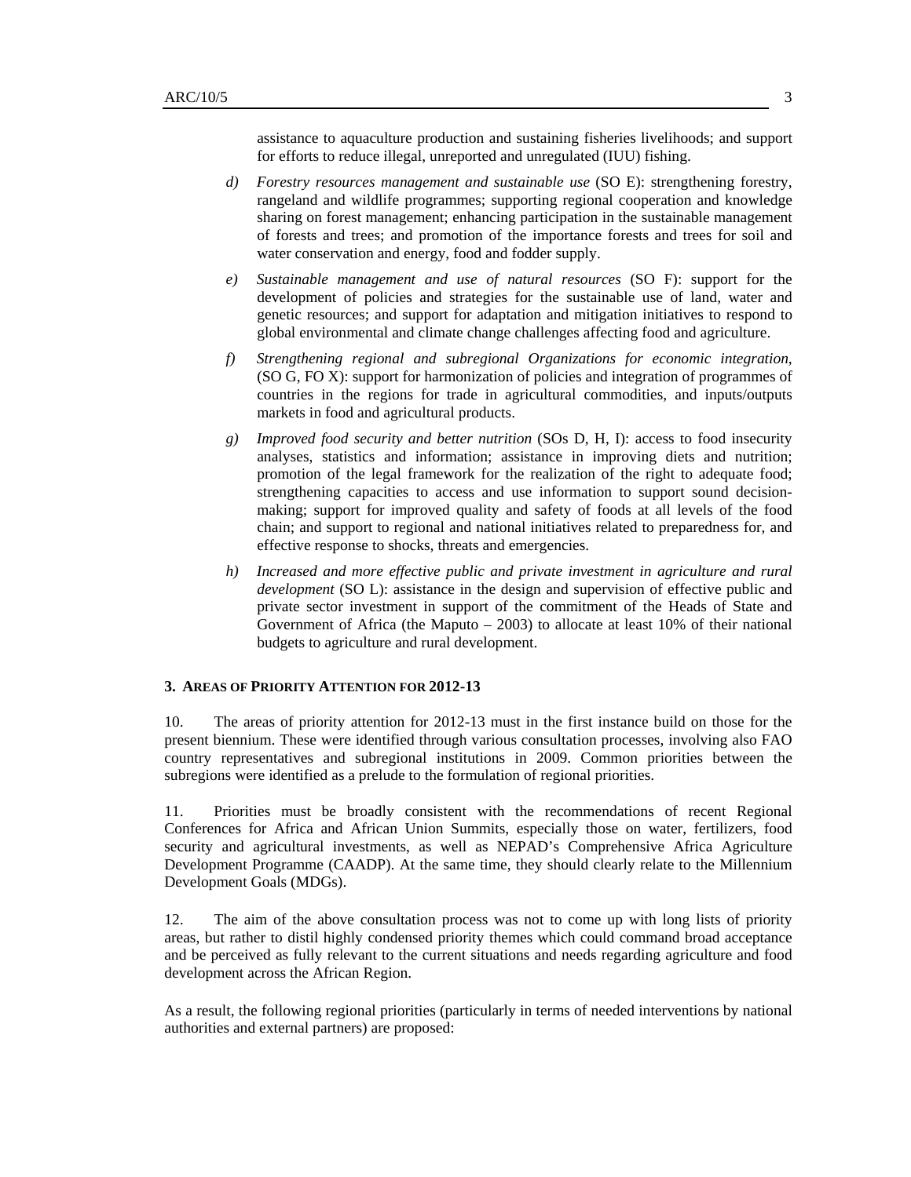assistance to aquaculture production and sustaining fisheries livelihoods; and support for efforts to reduce illegal, unreported and unregulated (IUU) fishing.

- *d) Forestry resources management and sustainable use* (SO E): strengthening forestry, rangeland and wildlife programmes; supporting regional cooperation and knowledge sharing on forest management; enhancing participation in the sustainable management of forests and trees; and promotion of the importance forests and trees for soil and water conservation and energy, food and fodder supply.
- *e) Sustainable management and use of natural resources* (SO F): support for the development of policies and strategies for the sustainable use of land, water and genetic resources; and support for adaptation and mitigation initiatives to respond to global environmental and climate change challenges affecting food and agriculture.
- *f) Strengthening regional and subregional Organizations for economic integration*, (SO G, FO X): support for harmonization of policies and integration of programmes of countries in the regions for trade in agricultural commodities, and inputs/outputs markets in food and agricultural products.
- *g) Improved food security and better nutrition* (SOs D, H, I): access to food insecurity analyses, statistics and information; assistance in improving diets and nutrition; promotion of the legal framework for the realization of the right to adequate food; strengthening capacities to access and use information to support sound decisionmaking; support for improved quality and safety of foods at all levels of the food chain; and support to regional and national initiatives related to preparedness for, and effective response to shocks, threats and emergencies.
- *h)* Increased and more effective public and private investment in agriculture and rural *development* (SO L): assistance in the design and supervision of effective public and private sector investment in support of the commitment of the Heads of State and Government of Africa (the Maputo – 2003) to allocate at least 10% of their national budgets to agriculture and rural development.

#### **3. AREAS OF PRIORITY ATTENTION FOR 2012-13**

10. The areas of priority attention for 2012-13 must in the first instance build on those for the present biennium. These were identified through various consultation processes, involving also FAO country representatives and subregional institutions in 2009. Common priorities between the subregions were identified as a prelude to the formulation of regional priorities.

11. Priorities must be broadly consistent with the recommendations of recent Regional Conferences for Africa and African Union Summits, especially those on water, fertilizers, food security and agricultural investments, as well as NEPAD's Comprehensive Africa Agriculture Development Programme (CAADP). At the same time, they should clearly relate to the Millennium Development Goals (MDGs).

12. The aim of the above consultation process was not to come up with long lists of priority areas, but rather to distil highly condensed priority themes which could command broad acceptance and be perceived as fully relevant to the current situations and needs regarding agriculture and food development across the African Region.

As a result, the following regional priorities (particularly in terms of needed interventions by national authorities and external partners) are proposed: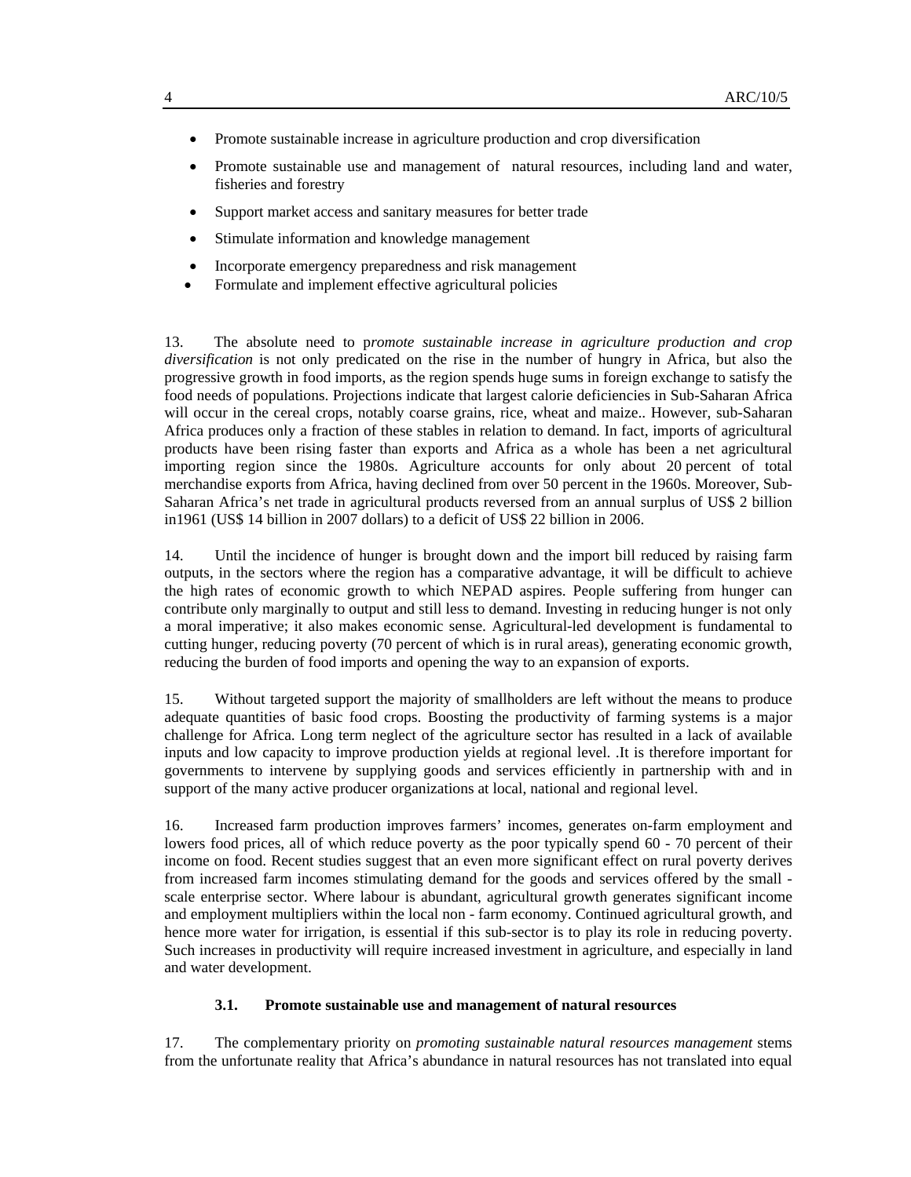- Promote sustainable increase in agriculture production and crop diversification
- Promote sustainable use and management of natural resources, including land and water, fisheries and forestry
- Support market access and sanitary measures for better trade
- Stimulate information and knowledge management
- Incorporate emergency preparedness and risk management
- Formulate and implement effective agricultural policies

13. The absolute need to p*romote sustainable increase in agriculture production and crop diversification* is not only predicated on the rise in the number of hungry in Africa, but also the progressive growth in food imports, as the region spends huge sums in foreign exchange to satisfy the food needs of populations. Projections indicate that largest calorie deficiencies in Sub-Saharan Africa will occur in the cereal crops, notably coarse grains, rice, wheat and maize.. However, sub-Saharan Africa produces only a fraction of these stables in relation to demand. In fact, imports of agricultural products have been rising faster than exports and Africa as a whole has been a net agricultural importing region since the 1980s. Agriculture accounts for only about 20 percent of total merchandise exports from Africa, having declined from over 50 percent in the 1960s. Moreover, Sub-Saharan Africa's net trade in agricultural products reversed from an annual surplus of US\$ 2 billion in1961 (US\$ 14 billion in 2007 dollars) to a deficit of US\$ 22 billion in 2006.

14. Until the incidence of hunger is brought down and the import bill reduced by raising farm outputs, in the sectors where the region has a comparative advantage, it will be difficult to achieve the high rates of economic growth to which NEPAD aspires. People suffering from hunger can contribute only marginally to output and still less to demand. Investing in reducing hunger is not only a moral imperative; it also makes economic sense. Agricultural-led development is fundamental to cutting hunger, reducing poverty (70 percent of which is in rural areas), generating economic growth, reducing the burden of food imports and opening the way to an expansion of exports.

15. Without targeted support the majority of smallholders are left without the means to produce adequate quantities of basic food crops. Boosting the productivity of farming systems is a major challenge for Africa. Long term neglect of the agriculture sector has resulted in a lack of available inputs and low capacity to improve production yields at regional level. .It is therefore important for governments to intervene by supplying goods and services efficiently in partnership with and in support of the many active producer organizations at local, national and regional level.

16. Increased farm production improves farmers' incomes, generates on-farm employment and lowers food prices, all of which reduce poverty as the poor typically spend 60 - 70 percent of their income on food. Recent studies suggest that an even more significant effect on rural poverty derives from increased farm incomes stimulating demand for the goods and services offered by the small scale enterprise sector. Where labour is abundant, agricultural growth generates significant income and employment multipliers within the local non - farm economy. Continued agricultural growth, and hence more water for irrigation, is essential if this sub-sector is to play its role in reducing poverty. Such increases in productivity will require increased investment in agriculture, and especially in land and water development.

#### **3.1. Promote sustainable use and management of natural resources**

17. The complementary priority on *promoting sustainable natural resources management* stems from the unfortunate reality that Africa's abundance in natural resources has not translated into equal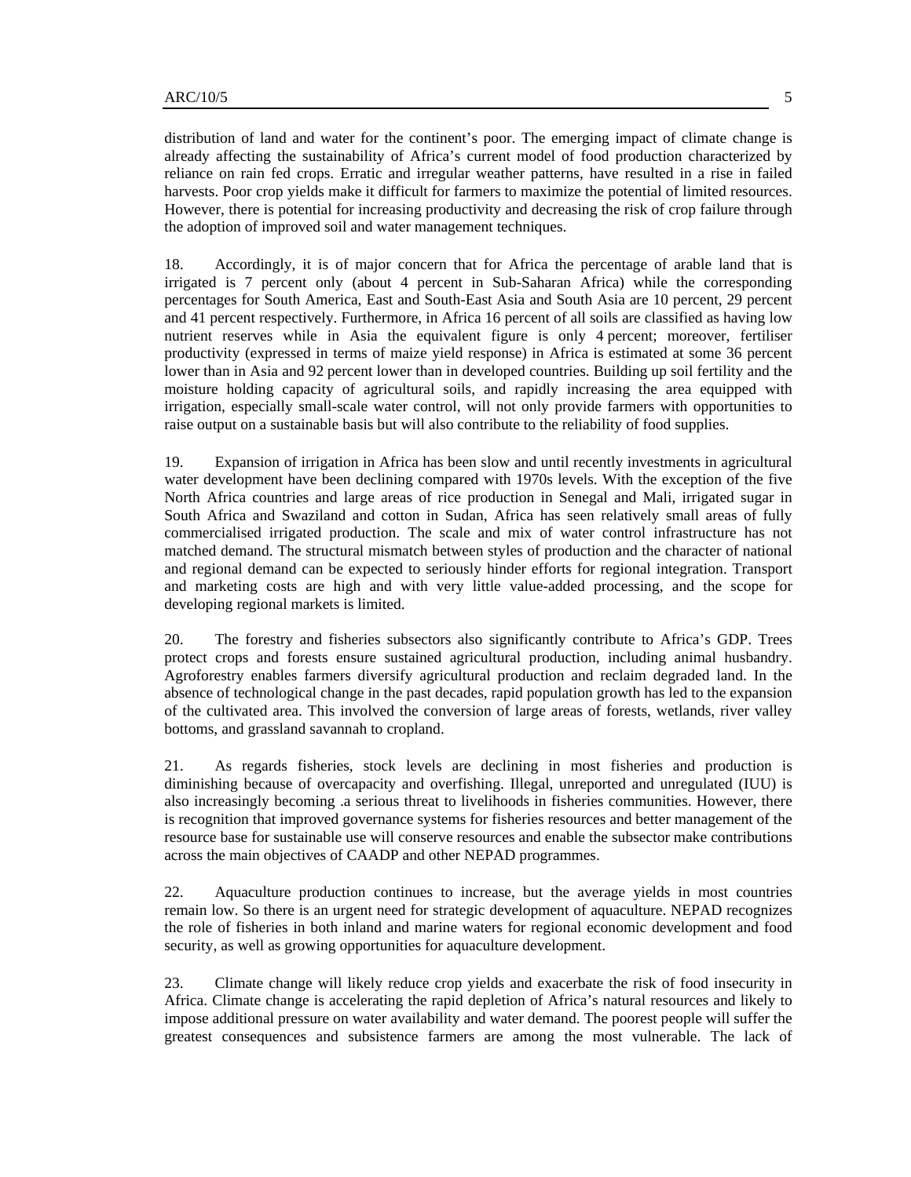distribution of land and water for the continent's poor. The emerging impact of climate change is already affecting the sustainability of Africa's current model of food production characterized by reliance on rain fed crops. Erratic and irregular weather patterns, have resulted in a rise in failed harvests. Poor crop yields make it difficult for farmers to maximize the potential of limited resources. However, there is potential for increasing productivity and decreasing the risk of crop failure through the adoption of improved soil and water management techniques.

18. Accordingly, it is of major concern that for Africa the percentage of arable land that is irrigated is 7 percent only (about 4 percent in Sub-Saharan Africa) while the corresponding percentages for South America, East and South-East Asia and South Asia are 10 percent, 29 percent and 41 percent respectively. Furthermore, in Africa 16 percent of all soils are classified as having low nutrient reserves while in Asia the equivalent figure is only 4 percent; moreover, fertiliser productivity (expressed in terms of maize yield response) in Africa is estimated at some 36 percent lower than in Asia and 92 percent lower than in developed countries. Building up soil fertility and the moisture holding capacity of agricultural soils, and rapidly increasing the area equipped with irrigation, especially small-scale water control, will not only provide farmers with opportunities to raise output on a sustainable basis but will also contribute to the reliability of food supplies.

19. Expansion of irrigation in Africa has been slow and until recently investments in agricultural water development have been declining compared with 1970s levels. With the exception of the five North Africa countries and large areas of rice production in Senegal and Mali, irrigated sugar in South Africa and Swaziland and cotton in Sudan, Africa has seen relatively small areas of fully commercialised irrigated production. The scale and mix of water control infrastructure has not matched demand. The structural mismatch between styles of production and the character of national and regional demand can be expected to seriously hinder efforts for regional integration. Transport and marketing costs are high and with very little value-added processing, and the scope for developing regional markets is limited.

20. The forestry and fisheries subsectors also significantly contribute to Africa's GDP. Trees protect crops and forests ensure sustained agricultural production, including animal husbandry. Agroforestry enables farmers diversify agricultural production and reclaim degraded land. In the absence of technological change in the past decades, rapid population growth has led to the expansion of the cultivated area. This involved the conversion of large areas of forests, wetlands, river valley bottoms, and grassland savannah to cropland.

21. As regards fisheries, stock levels are declining in most fisheries and production is diminishing because of overcapacity and overfishing. Illegal, unreported and unregulated (IUU) is also increasingly becoming .a serious threat to livelihoods in fisheries communities. However, there is recognition that improved governance systems for fisheries resources and better management of the resource base for sustainable use will conserve resources and enable the subsector make contributions across the main objectives of CAADP and other NEPAD programmes.

22. Aquaculture production continues to increase, but the average yields in most countries remain low. So there is an urgent need for strategic development of aquaculture. NEPAD recognizes the role of fisheries in both inland and marine waters for regional economic development and food security, as well as growing opportunities for aquaculture development.

23. Climate change will likely reduce crop yields and exacerbate the risk of food insecurity in Africa. Climate change is accelerating the rapid depletion of Africa's natural resources and likely to impose additional pressure on water availability and water demand. The poorest people will suffer the greatest consequences and subsistence farmers are among the most vulnerable. The lack of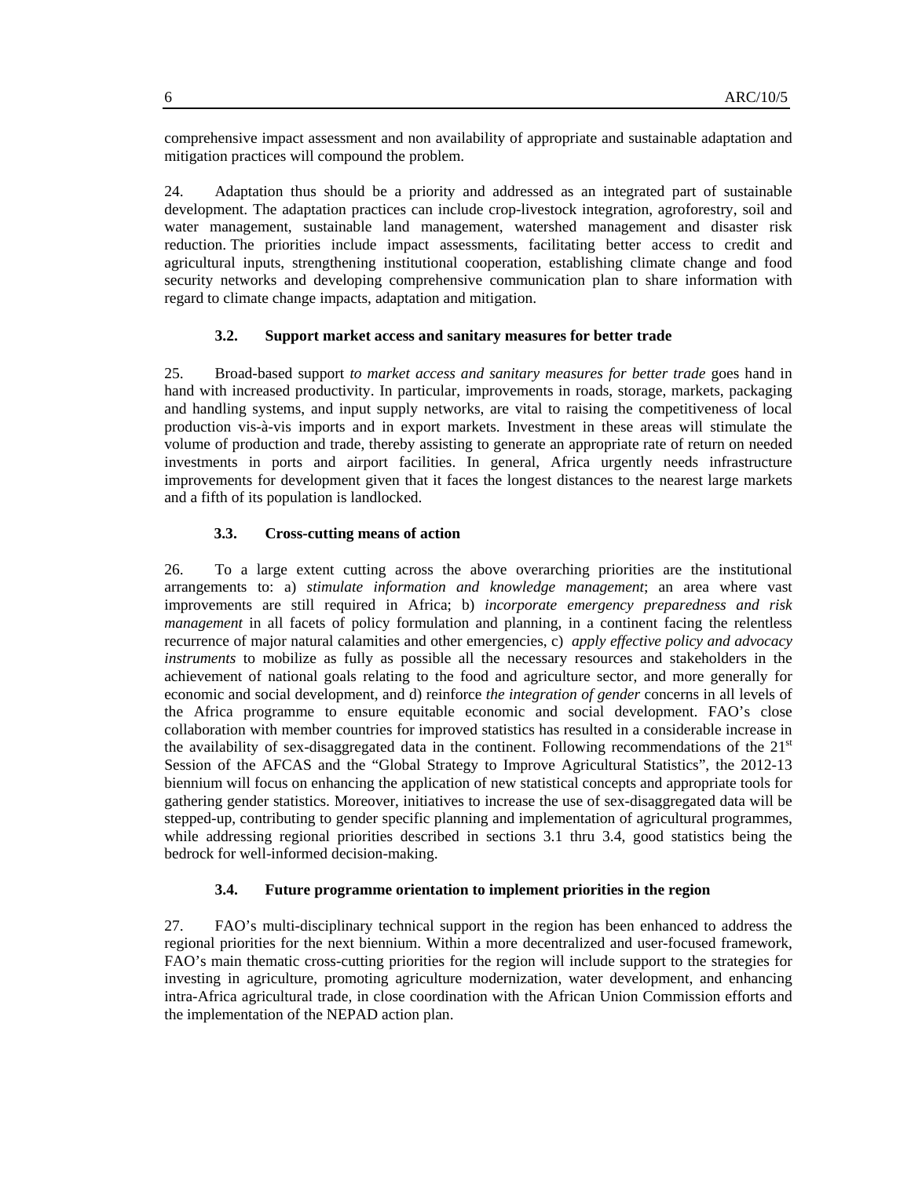comprehensive impact assessment and non availability of appropriate and sustainable adaptation and mitigation practices will compound the problem.

24. Adaptation thus should be a priority and addressed as an integrated part of sustainable development. The adaptation practices can include crop-livestock integration, agroforestry, soil and water management, sustainable land management, watershed management and disaster risk reduction. The priorities include impact assessments, facilitating better access to credit and agricultural inputs, strengthening institutional cooperation, establishing climate change and food security networks and developing comprehensive communication plan to share information with regard to climate change impacts, adaptation and mitigation.

#### **3.2. Support market access and sanitary measures for better trade**

25. Broad-based support *to market access and sanitary measures for better trade* goes hand in hand with increased productivity. In particular, improvements in roads, storage, markets, packaging and handling systems, and input supply networks, are vital to raising the competitiveness of local production vis-à-vis imports and in export markets. Investment in these areas will stimulate the volume of production and trade, thereby assisting to generate an appropriate rate of return on needed investments in ports and airport facilities. In general, Africa urgently needs infrastructure improvements for development given that it faces the longest distances to the nearest large markets and a fifth of its population is landlocked.

#### **3.3. Cross-cutting means of action**

26. To a large extent cutting across the above overarching priorities are the institutional arrangements to: a) *stimulate information and knowledge management*; an area where vast improvements are still required in Africa; b) *incorporate emergency preparedness and risk management* in all facets of policy formulation and planning, in a continent facing the relentless recurrence of major natural calamities and other emergencies, c) *apply effective policy and advocacy instruments* to mobilize as fully as possible all the necessary resources and stakeholders in the achievement of national goals relating to the food and agriculture sector, and more generally for economic and social development, and d) reinforce *the integration of gender* concerns in all levels of the Africa programme to ensure equitable economic and social development. FAO's close collaboration with member countries for improved statistics has resulted in a considerable increase in the availability of sex-disaggregated data in the continent. Following recommendations of the  $21^{st}$ Session of the AFCAS and the "Global Strategy to Improve Agricultural Statistics", the 2012-13 biennium will focus on enhancing the application of new statistical concepts and appropriate tools for gathering gender statistics. Moreover, initiatives to increase the use of sex-disaggregated data will be stepped-up, contributing to gender specific planning and implementation of agricultural programmes, while addressing regional priorities described in sections 3.1 thru 3.4, good statistics being the bedrock for well-informed decision-making.

#### **3.4. Future programme orientation to implement priorities in the region**

27. FAO's multi-disciplinary technical support in the region has been enhanced to address the regional priorities for the next biennium. Within a more decentralized and user-focused framework, FAO's main thematic cross-cutting priorities for the region will include support to the strategies for investing in agriculture, promoting agriculture modernization, water development, and enhancing intra-Africa agricultural trade, in close coordination with the African Union Commission efforts and the implementation of the NEPAD action plan.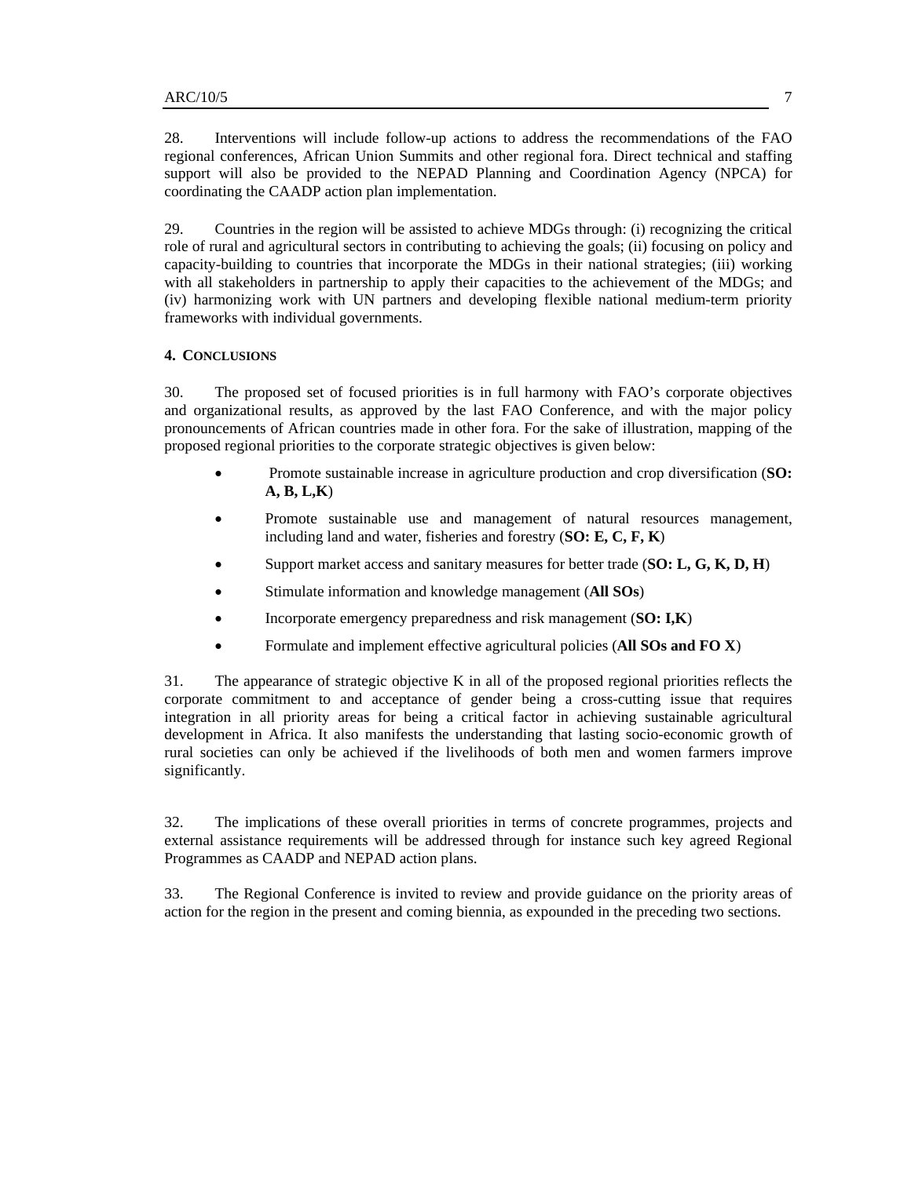28. Interventions will include follow-up actions to address the recommendations of the FAO regional conferences, African Union Summits and other regional fora. Direct technical and staffing support will also be provided to the NEPAD Planning and Coordination Agency (NPCA) for coordinating the CAADP action plan implementation.

29. Countries in the region will be assisted to achieve MDGs through: (i) recognizing the critical role of rural and agricultural sectors in contributing to achieving the goals; (ii) focusing on policy and capacity-building to countries that incorporate the MDGs in their national strategies; (iii) working with all stakeholders in partnership to apply their capacities to the achievement of the MDGs; and (iv) harmonizing work with UN partners and developing flexible national medium-term priority frameworks with individual governments.

#### **4. CONCLUSIONS**

30. The proposed set of focused priorities is in full harmony with FAO's corporate objectives and organizational results, as approved by the last FAO Conference, and with the major policy pronouncements of African countries made in other fora. For the sake of illustration, mapping of the proposed regional priorities to the corporate strategic objectives is given below:

- Promote sustainable increase in agriculture production and crop diversification (**SO: A, B, L,K**)
- Promote sustainable use and management of natural resources management, including land and water, fisheries and forestry (**SO: E, C, F, K**)
- Support market access and sanitary measures for better trade (**SO: L, G, K, D, H**)
- Stimulate information and knowledge management (**All SOs**)
- Incorporate emergency preparedness and risk management (**SO: I,K**)
- Formulate and implement effective agricultural policies (**All SOs and FO X**)

31. The appearance of strategic objective K in all of the proposed regional priorities reflects the corporate commitment to and acceptance of gender being a cross-cutting issue that requires integration in all priority areas for being a critical factor in achieving sustainable agricultural development in Africa. It also manifests the understanding that lasting socio-economic growth of rural societies can only be achieved if the livelihoods of both men and women farmers improve significantly.

32. The implications of these overall priorities in terms of concrete programmes, projects and external assistance requirements will be addressed through for instance such key agreed Regional Programmes as CAADP and NEPAD action plans.

33. The Regional Conference is invited to review and provide guidance on the priority areas of action for the region in the present and coming biennia, as expounded in the preceding two sections.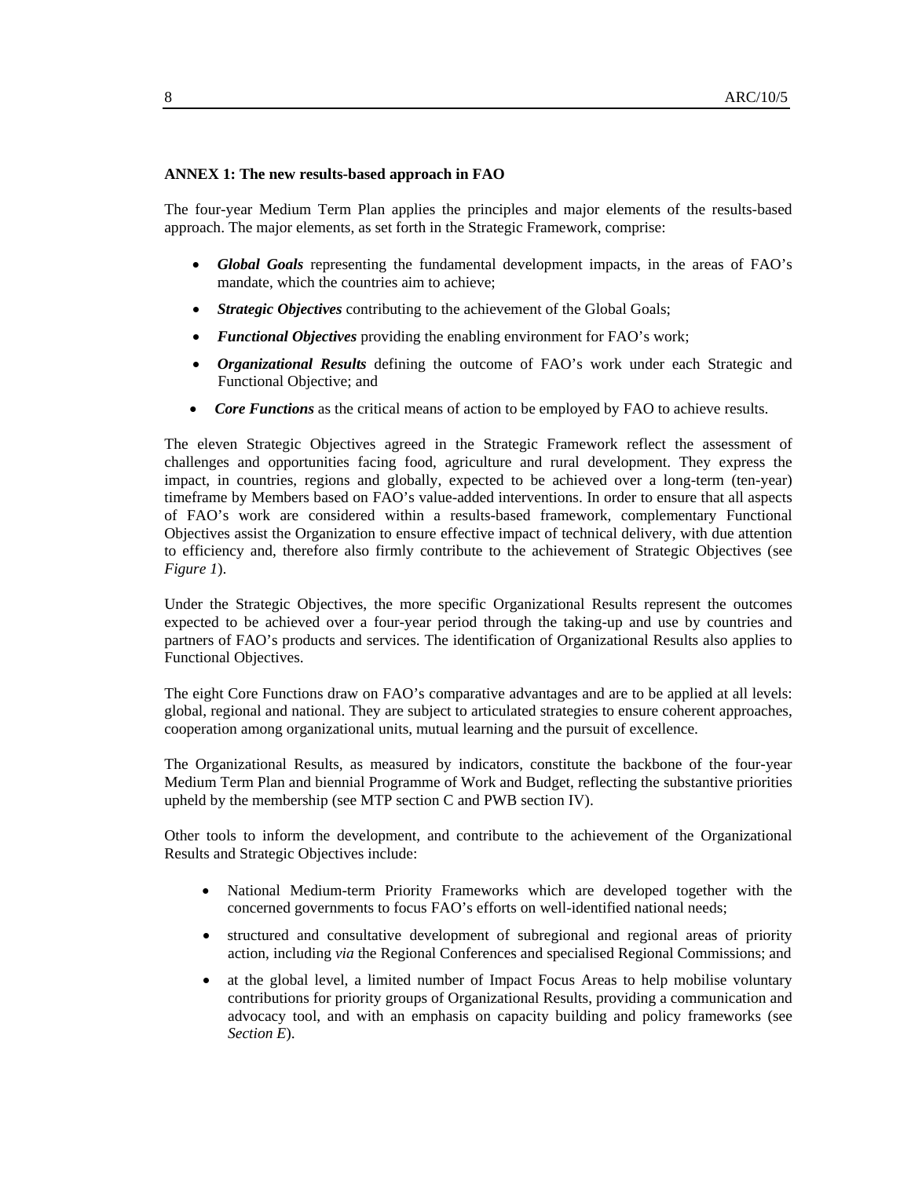#### **ANNEX 1: The new results-based approach in FAO**

The four-year Medium Term Plan applies the principles and major elements of the results-based approach. The major elements, as set forth in the Strategic Framework, comprise:

- *Global Goals* representing the fundamental development impacts, in the areas of FAO's mandate, which the countries aim to achieve;
- *Strategic Objectives* contributing to the achievement of the Global Goals;
- *Functional Objectives* providing the enabling environment for FAO's work;
- *Organizational Results* defining the outcome of FAO's work under each Strategic and Functional Objective; and
- *Core Functions* as the critical means of action to be employed by FAO to achieve results.

The eleven Strategic Objectives agreed in the Strategic Framework reflect the assessment of challenges and opportunities facing food, agriculture and rural development. They express the impact, in countries, regions and globally, expected to be achieved over a long-term (ten-year) timeframe by Members based on FAO's value-added interventions. In order to ensure that all aspects of FAO's work are considered within a results-based framework, complementary Functional Objectives assist the Organization to ensure effective impact of technical delivery, with due attention to efficiency and, therefore also firmly contribute to the achievement of Strategic Objectives (see *Figure 1*).

Under the Strategic Objectives, the more specific Organizational Results represent the outcomes expected to be achieved over a four-year period through the taking-up and use by countries and partners of FAO's products and services. The identification of Organizational Results also applies to Functional Objectives.

The eight Core Functions draw on FAO's comparative advantages and are to be applied at all levels: global, regional and national. They are subject to articulated strategies to ensure coherent approaches, cooperation among organizational units, mutual learning and the pursuit of excellence.

The Organizational Results, as measured by indicators, constitute the backbone of the four-year Medium Term Plan and biennial Programme of Work and Budget, reflecting the substantive priorities upheld by the membership (see MTP section C and PWB section IV).

Other tools to inform the development, and contribute to the achievement of the Organizational Results and Strategic Objectives include:

- National Medium-term Priority Frameworks which are developed together with the concerned governments to focus FAO's efforts on well-identified national needs;
- structured and consultative development of subregional and regional areas of priority action, including *via* the Regional Conferences and specialised Regional Commissions; and
- at the global level, a limited number of Impact Focus Areas to help mobilise voluntary contributions for priority groups of Organizational Results, providing a communication and advocacy tool, and with an emphasis on capacity building and policy frameworks (see *Section E*).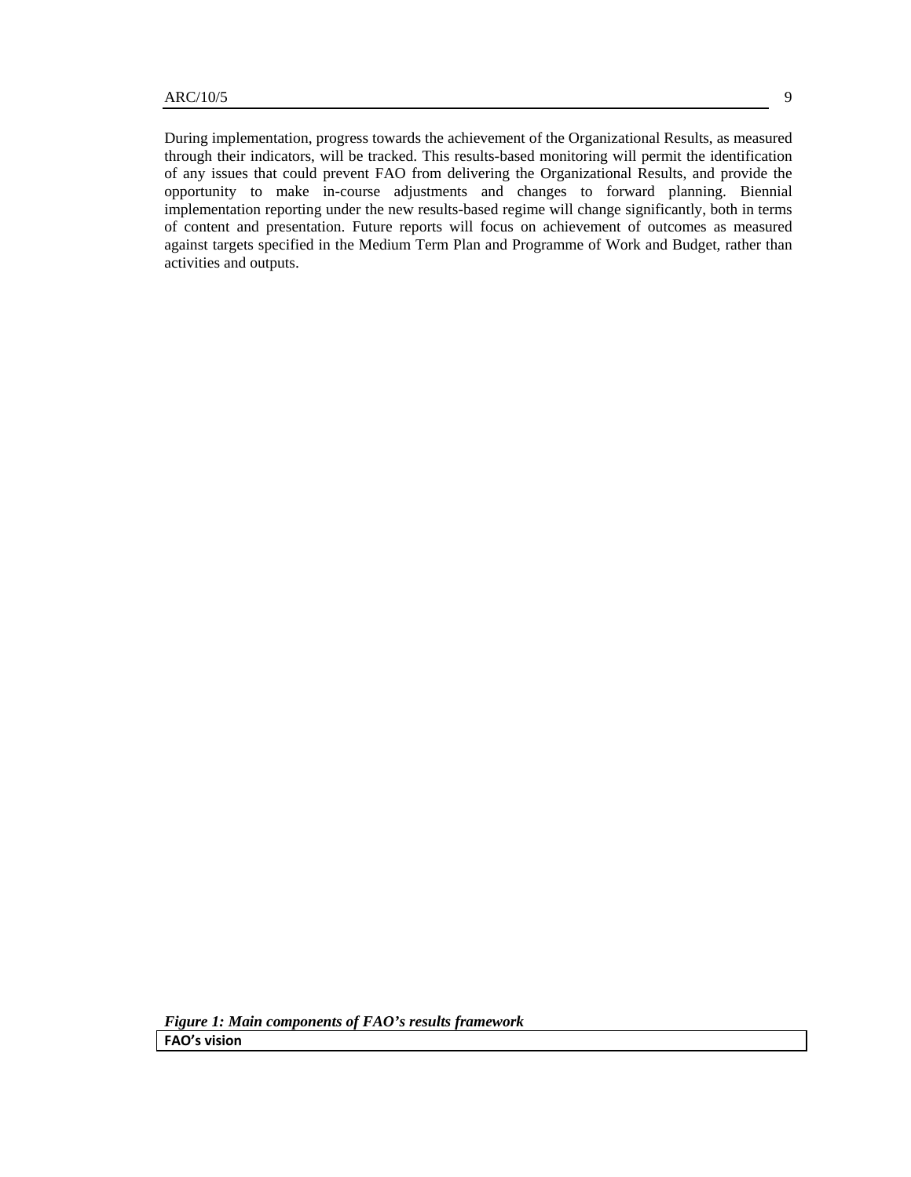activities and outputs.

During implementation, progress towards the achievement of the Organizational Results, as measured through their indicators, will be tracked. This results-based monitoring will permit the identification of any issues that could prevent FAO from delivering the Organizational Results, and provide the opportunity to make in-course adjustments and changes to forward planning. Biennial implementation reporting under the new results-based regime will change significantly, both in terms of content and presentation. Future reports will focus on achievement of outcomes as measured against targets specified in the Medium Term Plan and Programme of Work and Budget, rather than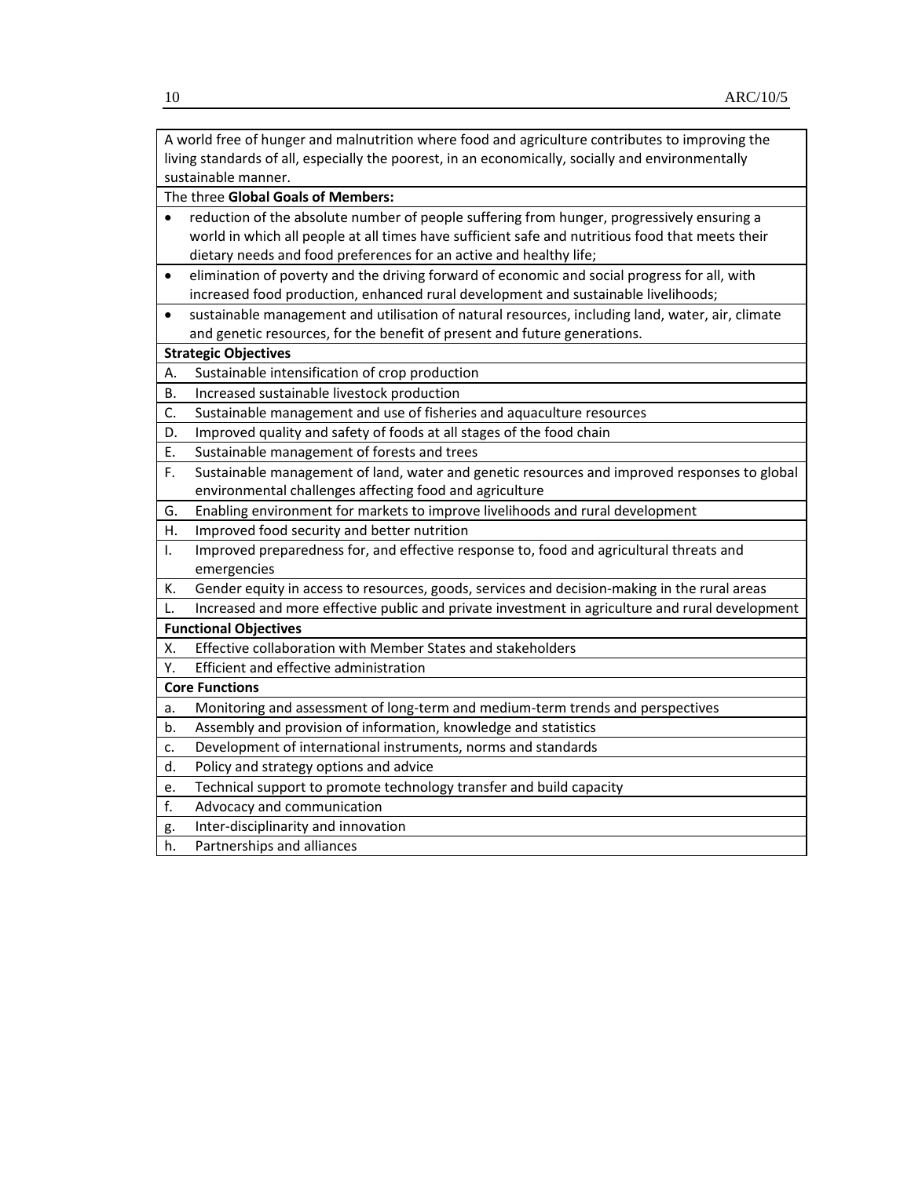|                                                                                                   | A world free of hunger and malnutrition where food and agriculture contributes to improving the  |  |  |  |  |  |  |
|---------------------------------------------------------------------------------------------------|--------------------------------------------------------------------------------------------------|--|--|--|--|--|--|
| living standards of all, especially the poorest, in an economically, socially and environmentally |                                                                                                  |  |  |  |  |  |  |
| sustainable manner.                                                                               |                                                                                                  |  |  |  |  |  |  |
| The three Global Goals of Members:                                                                |                                                                                                  |  |  |  |  |  |  |
|                                                                                                   | reduction of the absolute number of people suffering from hunger, progressively ensuring a       |  |  |  |  |  |  |
|                                                                                                   | world in which all people at all times have sufficient safe and nutritious food that meets their |  |  |  |  |  |  |
|                                                                                                   | dietary needs and food preferences for an active and healthy life;                               |  |  |  |  |  |  |
| ٠                                                                                                 | elimination of poverty and the driving forward of economic and social progress for all, with     |  |  |  |  |  |  |
|                                                                                                   | increased food production, enhanced rural development and sustainable livelihoods;               |  |  |  |  |  |  |
| ٠                                                                                                 | sustainable management and utilisation of natural resources, including land, water, air, climate |  |  |  |  |  |  |
|                                                                                                   | and genetic resources, for the benefit of present and future generations.                        |  |  |  |  |  |  |
|                                                                                                   | <b>Strategic Objectives</b>                                                                      |  |  |  |  |  |  |
| А.                                                                                                | Sustainable intensification of crop production                                                   |  |  |  |  |  |  |
| В.                                                                                                | Increased sustainable livestock production                                                       |  |  |  |  |  |  |
| С.                                                                                                | Sustainable management and use of fisheries and aquaculture resources                            |  |  |  |  |  |  |
| D.                                                                                                | Improved quality and safety of foods at all stages of the food chain                             |  |  |  |  |  |  |
| Ε.                                                                                                | Sustainable management of forests and trees                                                      |  |  |  |  |  |  |
| F.                                                                                                | Sustainable management of land, water and genetic resources and improved responses to global     |  |  |  |  |  |  |
|                                                                                                   | environmental challenges affecting food and agriculture                                          |  |  |  |  |  |  |
| G.                                                                                                | Enabling environment for markets to improve livelihoods and rural development                    |  |  |  |  |  |  |
| Н.                                                                                                | Improved food security and better nutrition                                                      |  |  |  |  |  |  |
| I.                                                                                                | Improved preparedness for, and effective response to, food and agricultural threats and          |  |  |  |  |  |  |
|                                                                                                   | emergencies                                                                                      |  |  |  |  |  |  |
| К.                                                                                                | Gender equity in access to resources, goods, services and decision-making in the rural areas     |  |  |  |  |  |  |
| L.                                                                                                | Increased and more effective public and private investment in agriculture and rural development  |  |  |  |  |  |  |
|                                                                                                   | <b>Functional Objectives</b>                                                                     |  |  |  |  |  |  |
| Х.                                                                                                | Effective collaboration with Member States and stakeholders                                      |  |  |  |  |  |  |
| Υ.                                                                                                | Efficient and effective administration                                                           |  |  |  |  |  |  |
| <b>Core Functions</b>                                                                             |                                                                                                  |  |  |  |  |  |  |
| a.                                                                                                | Monitoring and assessment of long-term and medium-term trends and perspectives                   |  |  |  |  |  |  |
| b.                                                                                                | Assembly and provision of information, knowledge and statistics                                  |  |  |  |  |  |  |
| c.                                                                                                | Development of international instruments, norms and standards                                    |  |  |  |  |  |  |
| d.                                                                                                | Policy and strategy options and advice                                                           |  |  |  |  |  |  |
| e.                                                                                                | Technical support to promote technology transfer and build capacity                              |  |  |  |  |  |  |
| f.                                                                                                | Advocacy and communication                                                                       |  |  |  |  |  |  |
| g.                                                                                                | Inter-disciplinarity and innovation                                                              |  |  |  |  |  |  |
| h.                                                                                                | Partnerships and alliances                                                                       |  |  |  |  |  |  |